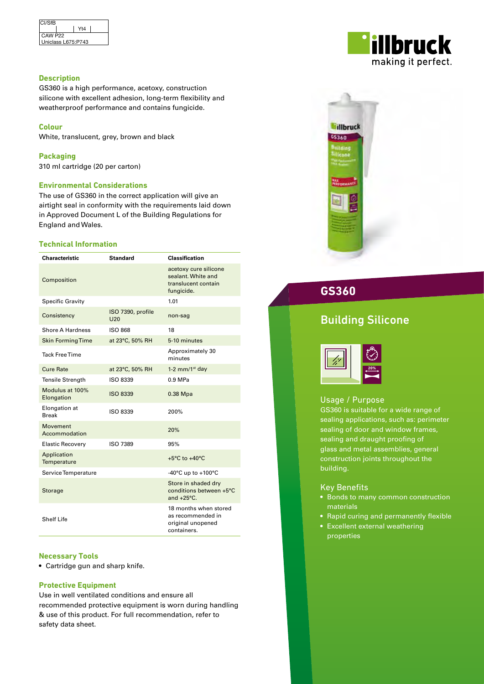| <b>CI/SfB</b>       |     |  |
|---------------------|-----|--|
|                     | Yt4 |  |
| CAW P <sub>22</sub> |     |  |
| Uniclass L675:P743  |     |  |

#### **Description**

GS360 is a high performance, acetoxy, construction silicone with excellent adhesion, long-term flexibility and weatherproof performance and contains fungicide.

#### **Colour**

White, translucent, grey, brown and black

**Packaging**  310 ml cartridge (20 per carton)

#### **Environmental Considerations**

The use of GS360 in the correct application will give an airtight seal in conformity with the requirements laid down in Approved Document L of the Building Regulations for England and Wales.

#### **Technical Information**

| <b>Characteristic</b>         | <b>Standard</b>          | <b>Classification</b>                                                            |
|-------------------------------|--------------------------|----------------------------------------------------------------------------------|
| Composition                   |                          | acetoxy cure silicone<br>sealant. White and<br>translucent contain<br>fungicide. |
| Specific Gravity              |                          | 1.01                                                                             |
| Consistency                   | ISO 7390, profile<br>U20 | non-sag                                                                          |
| Shore A Hardness              | <b>ISO 868</b>           | 18                                                                               |
| <b>Skin Forming Time</b>      | at 23°C, 50% RH          | 5-10 minutes                                                                     |
| <b>Tack Free Time</b>         |                          | Approximately 30<br>minutes                                                      |
| <b>Cure Rate</b>              | at 23°C, 50% RH          | 1-2 $mm/1st$ day                                                                 |
| <b>Tensile Strength</b>       | ISO 8339                 | $0.9$ MPa                                                                        |
| Modulus at 100%<br>Elongation | <b>ISO 8339</b>          | 0.38 Mpa                                                                         |
| Elongation at<br><b>Break</b> | ISO 8339                 | 200%                                                                             |
| Movement<br>Accommodation     |                          | 20%                                                                              |
| <b>Elastic Recovery</b>       | ISO 7389                 | 95%                                                                              |
| Application<br>Temperature    |                          | $+5^{\circ}$ C to $+40^{\circ}$ C                                                |
| Service Temperature           |                          | -40 $^{\circ}$ C up to +100 $^{\circ}$ C                                         |
| <b>Storage</b>                |                          | Store in shaded dry<br>conditions between +5°C<br>and $+25^{\circ}$ C.           |
| <b>Shelf Life</b>             |                          | 18 months when stored<br>as recommended in<br>original unopened<br>containers.   |

#### **Necessary Tools**

• Cartridge gun and sharp knife.

#### **Protective Equipment**

Use in well ventilated conditions and ensure all recommended protective equipment is worn during handling & use of this product. For full recommendation, refer to safety data sheet.





**GS360**

# Building Silicone



#### Usage / Purpose

GS360 is suitable for a wide range of sealing applications, such as: perimeter sealing of door and window frames, sealing and draught proofing of glass and metal assemblies, general construction joints throughout the building.

#### Key Benefits

- Bonds to many common construction materials
- Rapid curing and permanently flexible
- Excellent external weathering properties